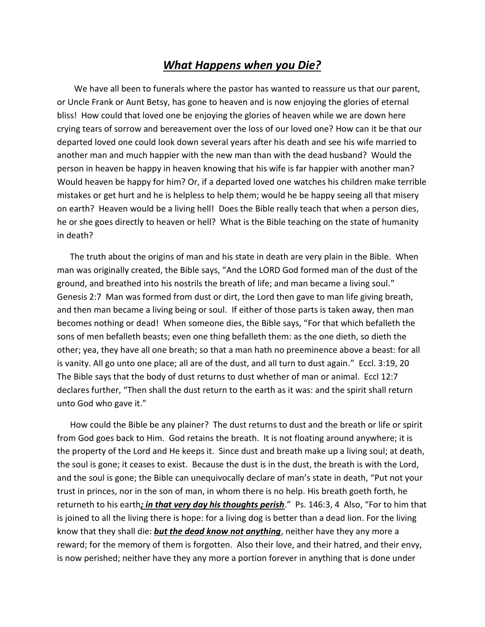## *What Happens when you Die?*

We have all been to funerals where the pastor has wanted to reassure us that our parent, or Uncle Frank or Aunt Betsy, has gone to heaven and is now enjoying the glories of eternal bliss! How could that loved one be enjoying the glories of heaven while we are down here crying tears of sorrow and bereavement over the loss of our loved one? How can it be that our departed loved one could look down several years after his death and see his wife married to another man and much happier with the new man than with the dead husband? Would the person in heaven be happy in heaven knowing that his wife is far happier with another man? Would heaven be happy for him? Or, if a departed loved one watches his children make terrible mistakes or get hurt and he is helpless to help them; would he be happy seeing all that misery on earth? Heaven would be a living hell! Does the Bible really teach that when a person dies, he or she goes directly to heaven or hell? What is the Bible teaching on the state of humanity in death?

 The truth about the origins of man and his state in death are very plain in the Bible. When man was originally created, the Bible says, "And the LORD God formed man of the dust of the ground, and breathed into his nostrils the breath of life; and man became a living soul." Genesis 2:7 Man was formed from dust or dirt, the Lord then gave to man life giving breath, and then man became a living being or soul. If either of those parts is taken away, then man becomes nothing or dead! When someone dies, the Bible says, "For that which befalleth the sons of men befalleth beasts; even one thing befalleth them: as the one dieth, so dieth the other; yea, they have all one breath; so that a man hath no preeminence above a beast: for all is vanity. All go unto one place; all are of the dust, and all turn to dust again." Eccl. 3:19, 20 The Bible says that the body of dust returns to dust whether of man or animal. Eccl 12:7 declares further, "Then shall the dust return to the earth as it was: and the spirit shall return unto God who gave it."

 How could the Bible be any plainer? The dust returns to dust and the breath or life or spirit from God goes back to Him. God retains the breath. It is not floating around anywhere; it is the property of the Lord and He keeps it. Since dust and breath make up a living soul; at death, the soul is gone; it ceases to exist. Because the dust is in the dust, the breath is with the Lord, and the soul is gone; the Bible can unequivocally declare of man's state in death, "Put not your trust in princes, nor in the son of man, in whom there is no help. His breath goeth forth, he returneth to his earth*; in that very day his thoughts perish*." Ps. 146:3, 4 Also, "For to him that is joined to all the living there is hope: for a living dog is better than a dead lion. For the living know that they shall die: *but the dead know not anything*, neither have they any more a reward; for the memory of them is forgotten. Also their love, and their hatred, and their envy, is now perished; neither have they any more a portion forever in anything that is done under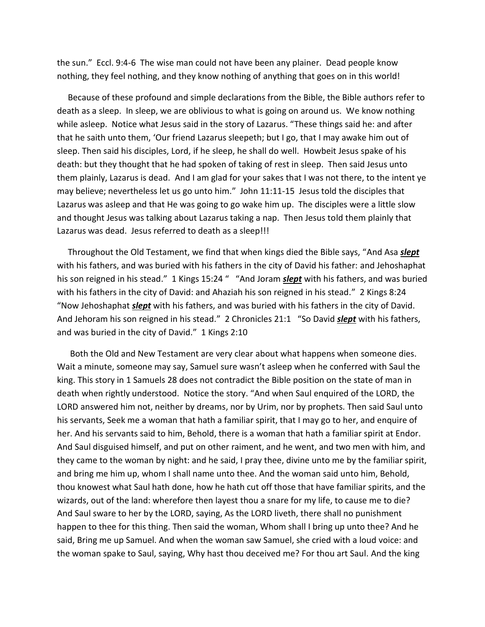the sun." Eccl. 9:4-6 The wise man could not have been any plainer. Dead people know nothing, they feel nothing, and they know nothing of anything that goes on in this world!

 Because of these profound and simple declarations from the Bible, the Bible authors refer to death as a sleep. In sleep, we are oblivious to what is going on around us. We know nothing while asleep. Notice what Jesus said in the story of Lazarus. "These things said he: and after that he saith unto them, 'Our friend Lazarus sleepeth; but I go, that I may awake him out of sleep. Then said his disciples, Lord, if he sleep, he shall do well. Howbeit Jesus spake of his death: but they thought that he had spoken of taking of rest in sleep. Then said Jesus unto them plainly, Lazarus is dead. And I am glad for your sakes that I was not there, to the intent ye may believe; nevertheless let us go unto him." John 11:11-15 Jesus told the disciples that Lazarus was asleep and that He was going to go wake him up. The disciples were a little slow and thought Jesus was talking about Lazarus taking a nap. Then Jesus told them plainly that Lazarus was dead. Jesus referred to death as a sleep!!!

 Throughout the Old Testament, we find that when kings died the Bible says, "And Asa *slept* with his fathers, and was buried with his fathers in the city of David his father: and Jehoshaphat his son reigned in his stead." 1 Kings 15:24 " "And Joram *slept* with his fathers, and was buried with his fathers in the city of David: and Ahaziah his son reigned in his stead." 2 Kings 8:24 "Now Jehoshaphat *slept* with his fathers, and was buried with his fathers in the city of David. And Jehoram his son reigned in his stead." 2 Chronicles 21:1 "So David *slept* with his fathers, and was buried in the city of David." 1 Kings 2:10

 Both the Old and New Testament are very clear about what happens when someone dies. Wait a minute, someone may say, Samuel sure wasn't asleep when he conferred with Saul the king. This story in 1 Samuels 28 does not contradict the Bible position on the state of man in death when rightly understood. Notice the story. "And when Saul enquired of the LORD, the LORD answered him not, neither by dreams, nor by Urim, nor by prophets. Then said Saul unto his servants, Seek me a woman that hath a familiar spirit, that I may go to her, and enquire of her. And his servants said to him, Behold, there is a woman that hath a familiar spirit at Endor. And Saul disguised himself, and put on other raiment, and he went, and two men with him, and they came to the woman by night: and he said, I pray thee, divine unto me by the familiar spirit, and bring me him up, whom I shall name unto thee. And the woman said unto him, Behold, thou knowest what Saul hath done, how he hath cut off those that have familiar spirits, and the wizards, out of the land: wherefore then layest thou a snare for my life, to cause me to die? And Saul sware to her by the LORD, saying, As the LORD liveth, there shall no punishment happen to thee for this thing. Then said the woman, Whom shall I bring up unto thee? And he said, Bring me up Samuel. And when the woman saw Samuel, she cried with a loud voice: and the woman spake to Saul, saying, Why hast thou deceived me? For thou art Saul. And the king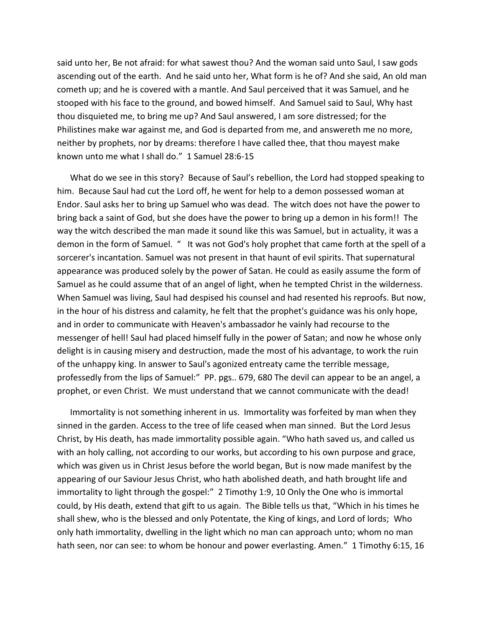said unto her, Be not afraid: for what sawest thou? And the woman said unto Saul, I saw gods ascending out of the earth. And he said unto her, What form is he of? And she said, An old man cometh up; and he is covered with a mantle. And Saul perceived that it was Samuel, and he stooped with his face to the ground, and bowed himself. And Samuel said to Saul, Why hast thou disquieted me, to bring me up? And Saul answered, I am sore distressed; for the Philistines make war against me, and God is departed from me, and answereth me no more, neither by prophets, nor by dreams: therefore I have called thee, that thou mayest make known unto me what I shall do." 1 Samuel 28:6-15

 What do we see in this story? Because of Saul's rebellion, the Lord had stopped speaking to him. Because Saul had cut the Lord off, he went for help to a demon possessed woman at Endor. Saul asks her to bring up Samuel who was dead. The witch does not have the power to bring back a saint of God, but she does have the power to bring up a demon in his form!! The way the witch described the man made it sound like this was Samuel, but in actuality, it was a demon in the form of Samuel. " It was not God's holy prophet that came forth at the spell of a sorcerer's incantation. Samuel was not present in that haunt of evil spirits. That supernatural appearance was produced solely by the power of Satan. He could as easily assume the form of Samuel as he could assume that of an angel of light, when he tempted Christ in the wilderness. When Samuel was living, Saul had despised his counsel and had resented his reproofs. But now, in the hour of his distress and calamity, he felt that the prophet's guidance was his only hope, and in order to communicate with Heaven's ambassador he vainly had recourse to the messenger of hell! Saul had placed himself fully in the power of Satan; and now he whose only delight is in causing misery and destruction, made the most of his advantage, to work the ruin of the unhappy king. In answer to Saul's agonized entreaty came the terrible message, professedly from the lips of Samuel:" PP. pgs.. 679, 680 The devil can appear to be an angel, a prophet, or even Christ. We must understand that we cannot communicate with the dead!

 Immortality is not something inherent in us. Immortality was forfeited by man when they sinned in the garden. Access to the tree of life ceased when man sinned. But the Lord Jesus Christ, by His death, has made immortality possible again. "Who hath saved us, and called us with an holy calling, not according to our works, but according to his own purpose and grace, which was given us in Christ Jesus before the world began, But is now made manifest by the appearing of our Saviour Jesus Christ, who hath abolished death, and hath brought life and immortality to light through the gospel:" 2 Timothy 1:9, 10 Only the One who is immortal could, by His death, extend that gift to us again. The Bible tells us that, "Which in his times he shall shew, who is the blessed and only Potentate, the King of kings, and Lord of lords; Who only hath immortality, dwelling in the light which no man can approach unto; whom no man hath seen, nor can see: to whom be honour and power everlasting. Amen." 1 Timothy 6:15, 16